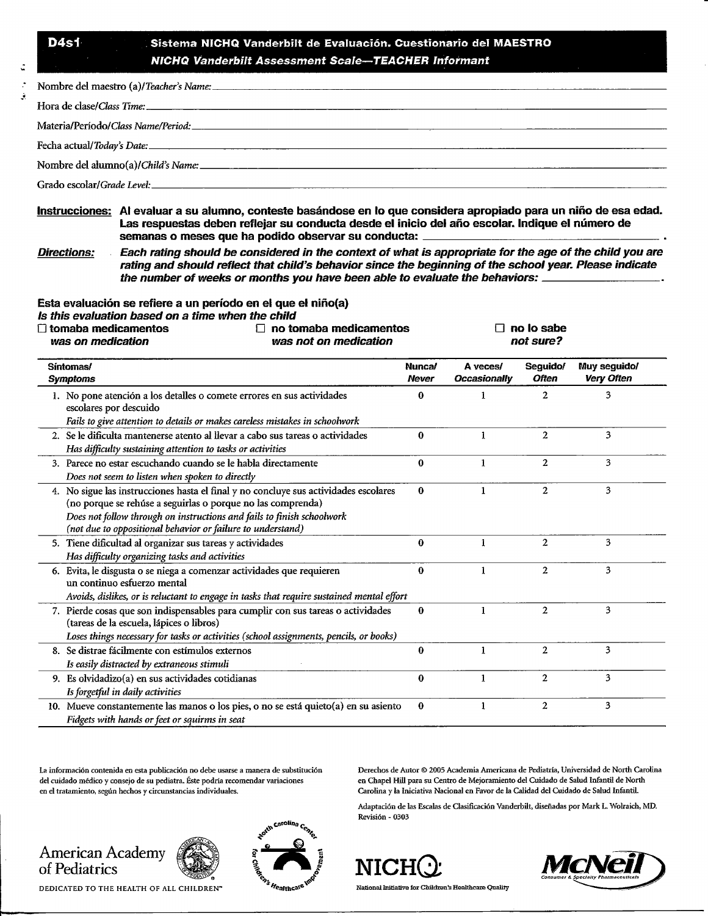## **D4s1 Sistema NICHQ Vanderbilt de Evaluacion. Cuestionario del MAESTRO** *NICHQ Vanderbilt Assessment Scale***—***TEACHER Informant*

| Materia/Período/ <i>Class Name/Period:</i> 2008. 2009. The contract of the contract of the contract of the contract of the contract of the contract of the contract of the contract of the contract of the contract of the contract |
|-------------------------------------------------------------------------------------------------------------------------------------------------------------------------------------------------------------------------------------|
|                                                                                                                                                                                                                                     |
|                                                                                                                                                                                                                                     |
|                                                                                                                                                                                                                                     |

**Instrucciones: Al evaluar a su alumno, conteste basandose en lo que considers apropiado para un nino de esa edad.** Las respuestas deben reflejar su conducta desde el inicio del año escolar. Indique el número de **semanas o meses que ha podido observar su conducta: .**

**Directions: Each rating should be considered in the context of what is appropriate for the age of the child you are rating and should reflect that child's behavior since the beginning of the school year. Please indicate the number of weeks or months you have been able to evaluate the behaviors:**

**Esta evaluacion se refiere a un pen'odo en el que el nino(a)**

**Is this evaluation based on a time when the child**

| $\Box$ tomaba medicamentos<br>П<br>was not on medication<br>was on medication                                                                                                                                                                                                                | no tomaba medicamentos |                                 |                          |                                   |
|----------------------------------------------------------------------------------------------------------------------------------------------------------------------------------------------------------------------------------------------------------------------------------------------|------------------------|---------------------------------|--------------------------|-----------------------------------|
| Síntomas/<br><b>Symptoms</b>                                                                                                                                                                                                                                                                 | Nunca/<br><b>Never</b> | A veces/<br><b>Occasionally</b> | Seguido/<br><b>Often</b> | Muy seguido/<br><b>Very Often</b> |
| 1. No pone atención a los detalles o comete errores en sus actividades<br>escolares por descuido<br>Fails to give attention to details or makes careless mistakes in schoolwork                                                                                                              | 0                      | 1                               | $\overline{2}$           | 3                                 |
| 2. Se le dificulta mantenerse atento al llevar a cabo sus tareas o actividades<br>Has difficulty sustaining attention to tasks or activities                                                                                                                                                 | $\bf{0}$               | 1                               | $\overline{a}$           | 3                                 |
| 3. Parece no estar escuchando cuando se le habla directamente<br>Does not seem to listen when spoken to directly                                                                                                                                                                             | $\bf{0}$               | 1                               | $\overline{a}$           | 3                                 |
| 4. No sigue las instrucciones hasta el final y no concluye sus actividades escolares<br>(no porque se rehúse a seguirlas o porque no las comprenda)<br>Does not follow through on instructions and fails to finish schoolwork<br>(not due to oppositional behavior or failure to understand) | 0                      | 1                               | $\mathbf{2}$             | 3                                 |
| 5. Tiene dificultad al organizar sus tareas y actividades<br>Has difficulty organizing tasks and activities                                                                                                                                                                                  | $\bf{0}$               | 1                               | $\overline{2}$           | 3                                 |
| 6. Evita, le disgusta o se niega a comenzar actividades que requieren<br>un continuo esfuerzo mental<br>Avoids, dislikes, or is reluctant to engage in tasks that require sustained mental effort                                                                                            | $\bf{0}$               | 1                               | $\overline{2}$           | 3                                 |
| 7. Pierde cosas que son indispensables para cumplir con sus tareas o actividades<br>(tareas de la escuela, lápices o libros)<br>Loses things necessary for tasks or activities (school assignments, pencils, or books)                                                                       | 0                      | 1                               | $\overline{2}$           | 3                                 |
| 8. Se distrae fácilmente con estímulos externos<br>Is easily distracted by extraneous stimuli                                                                                                                                                                                                | $\Omega$               | 1                               | $\overline{c}$           | 3                                 |
| 9. Es olvidadizo(a) en sus actividades cotidianas<br>Is forgetful in daily activities                                                                                                                                                                                                        | $\bf{0}$               | 1                               | $\overline{2}$           | 3                                 |
| 10. Mueve constantemente las manos o los pies, o no se está quieto(a) en su asiento<br>Fidgets with hands or feet or squirms in seat                                                                                                                                                         | $\bf{0}$               | 1                               | $\overline{c}$           | 3                                 |

La informacion contenida en esta publication no debe usarse a manera de substitution del cuidado médico y consejo de su pediatra. Éste podría recomendar variaciones en el tratamiento, segiin hechos y circunstancias individuales.

Derechos de Autor © 2005 Academia Americana de Pediatria, Universidad de North Carolina en Chapel Hill para su Centre de Mejoramiento del Cuidado de Salud Infentil de North Carolina y la Iniciativa Nacional en Favor de la Calidad del Cuidado de Salud Infantil.

Adaptation de las Escalas de Gasification Vanderbilt, disenadas por Mark L. Wolraich, MD. Revisi6n - 0303



DEDICATED TO THE HEALTH OF ALL CHILDREN"







National Initiative **for** Children's Healthcare Qnality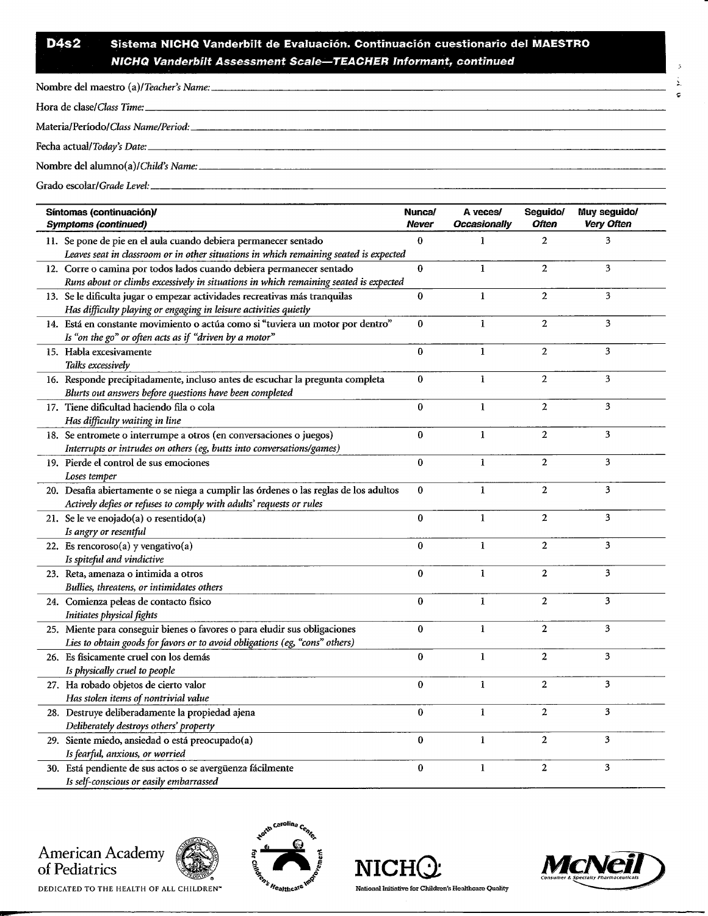## D4s2 Sistema NICHQ Vanderbilt de Evaluación. Continuación cuestionario del MAESTRO *NICHQ Vanderbilt Assessment Scale— TEACHER Informant, continued*

| Síntomas (continuación)/<br><b>Symptoms (continued)</b>                                                                                                      | Nunca/<br>Never  | A veces/<br><b>Occasionally</b> | Seguido/<br><b>Often</b> | Muy seguido/<br><b>Very Often</b> |
|--------------------------------------------------------------------------------------------------------------------------------------------------------------|------------------|---------------------------------|--------------------------|-----------------------------------|
| 11. Se pone de pie en el aula cuando debiera permanecer sentado<br>Leaves seat in classroom or in other situations in which remaining seated is expected     | $\bf{0}$         | 1                               | $\overline{c}$           | 3                                 |
| 12. Corre o camina por todos lados cuando debiera permanecer sentado<br>Runs about or climbs excessively in situations in which remaining seated is expected | $\bf{0}$         | $\mathbf{1}$                    | $\overline{2}$           | 3                                 |
| 13. Se le dificulta jugar o empezar actividades recreativas más tranquilas<br>Has difficulty playing or engaging in leisure activities quietly               | $\bf{0}$         | $\mathbf{1}$                    | $\boldsymbol{2}$         | 3                                 |
| 14. Está en constante movimiento o actúa como si "tuviera un motor por dentro"<br>Is "on the go" or often acts as if "driven by a motor"                     | $\bf{0}$         | $\mathbf{1}$                    | $\overline{2}$           | 3                                 |
| 15. Habla excesivamente<br>Talks excessively                                                                                                                 | $\bf{0}$         | $\mathbf{1}$                    | $\boldsymbol{2}$         | 3                                 |
| 16. Responde precipitadamente, incluso antes de escuchar la pregunta completa<br>Blurts out answers before questions have been completed                     | $\bf{0}$         | $\mathbf{1}$                    | $\overline{a}$           | $\overline{\mathbf{3}}$           |
| 17. Tiene dificultad haciendo fila o cola<br>Has difficulty waiting in line                                                                                  | $\bf{0}$         | $\mathbf{1}$                    | 2                        | 3                                 |
| 18. Se entromete o interrumpe a otros (en conversaciones o juegos)<br>Interrupts or intrudes on others (eg, butts into conversations/games)                  | $\bf{0}$         | $\mathbf{1}$                    | $\boldsymbol{2}$         | 3                                 |
| 19. Pierde el control de sus emociones<br>Loses temper                                                                                                       | $\bf{0}$         | $\mathbf{1}$                    | $\overline{c}$           | 3                                 |
| 20. Desafía abiertamente o se niega a cumplir las órdenes o las reglas de los adultos<br>Actively defies or refuses to comply with adults' requests or rules | $\bf{0}$         | $\mathbf{1}$                    | $\overline{2}$           | 3                                 |
| 21. Se le ve enojado(a) o resentido(a)<br>Is angry or resentful                                                                                              | $\bf{0}$         | $\mathbf{1}$                    | $\overline{2}$           | 3                                 |
| 22. Es rencoroso $(a)$ y vengativo $(a)$<br>Is spiteful and vindictive                                                                                       | $\bf{0}$         | $\mathbf{1}$                    | $\overline{c}$           | 3                                 |
| 23. Reta, amenaza o intimida a otros<br>Bullies, threatens, or intimidates others                                                                            | $\bf{0}$         | $\mathbf{1}$                    | $\boldsymbol{2}$         | 3                                 |
| 24. Comienza peleas de contacto físico<br>Initiates physical fights                                                                                          | $\boldsymbol{0}$ | $\mathbf{1}$                    | $\overline{2}$           | 3                                 |
| 25. Miente para conseguir bienes o favores o para eludir sus obligaciones<br>Lies to obtain goods for favors or to avoid obligations (eg, "cons" others)     | $\bf{0}$         | $\mathbf{1}$                    | $\boldsymbol{2}$         | 3                                 |
| 26. Es físicamente cruel con los demás<br>Is physically cruel to people                                                                                      | $\bf{0}$         | $\mathbf{1}$                    | $\boldsymbol{2}$         | 3                                 |
| 27. Ha robado objetos de cierto valor<br>Has stolen items of nontrivial value                                                                                | $\bf{0}$         | $\mathbf{1}$                    | $\overline{2}$           | 3                                 |
| 28. Destruye deliberadamente la propiedad ajena<br>Deliberately destroys others' property                                                                    | $\bf{0}$         | $\mathbf{1}$                    | $\mathbf 2$              | 3                                 |
| 29. Siente miedo, ansiedad o está preocupado(a)<br>Is fearful, anxious, or worried                                                                           | $\bf{0}$         | $\mathbf{1}$                    | $\overline{2}$           | 3                                 |
| 30. Está pendiente de sus actos o se avergüenza fácilmente<br>Is self-conscious or easily embarrassed                                                        | $\bf{0}$         | $\mathbf{1}$                    | $\overline{2}$           | 3                                 |





OR REALT AND THE HEALTH OF ALL CHILDREN<sup>\*</sup> <sup>C</sup><sup>2</sup> C<sub>althca</sub>re<sup>W</sup> National Initiative for Children's Healthcare Quality<br>DEDICATED TO THE HEALTH OF ALL CHILDREN<sup>\*</sup>







ž.  $\tilde{\mathbf{v}}$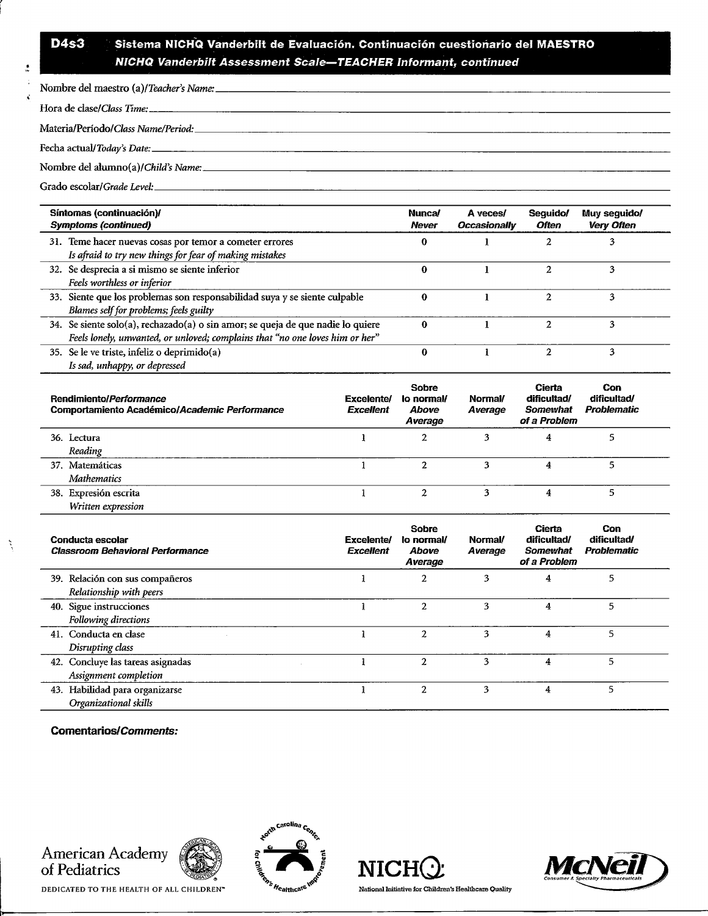## D4s3 Sistema NICHQ Vanderbilt de Evaluación. Continuación cuestionario del MAESTRO *NICHQ Vanderbilt Assessment Scale—TEACHER Informant, continued*

| Síntomas (continuación)/<br><b>Symptoms (continued)</b>                                                                                                         | Nunca/<br><b>Never</b> | A veces/<br>Occasionally | Sequido/<br><b>Often</b> | Muy seguido/<br><b>Very Often</b> |
|-----------------------------------------------------------------------------------------------------------------------------------------------------------------|------------------------|--------------------------|--------------------------|-----------------------------------|
| 31. Teme hacer nuevas cosas por temor a cometer errores<br>Is afraid to try new things for fear of making mistakes                                              | о                      |                          |                          | 3                                 |
| 32. Se desprecia a si mismo se siente inferior<br>Feels worthless or inferior                                                                                   | Ω                      |                          |                          |                                   |
| 33. Siente que los problemas son responsabilidad suya y se siente culpable<br>Blames self for problems; feels guilty                                            | 0                      |                          |                          | 3                                 |
| 34. Se siente solo(a), rechazado(a) o sin amor; se queja de que nadie lo quiere<br>Feels lonely, unwanted, or unloved; complains that "no one loves him or her" | 0                      |                          |                          | 3                                 |
| 35. Se le ve triste, infeliz o deprimido(a)<br>Is sad, unhappy, or depressed                                                                                    | 0                      |                          |                          | 3                                 |

| Rendimiento/Performance<br>Comportamiento Académico/Academic Performance | Excelente/<br><b>Excellent</b> | <b>Sobre</b><br>lo normal/<br><b>Above</b><br>Average | Normal/<br>Average | Cierta<br>dificultad/<br>Somewhat<br>of a Problem | Con<br>dificultad/<br>Problematic |
|--------------------------------------------------------------------------|--------------------------------|-------------------------------------------------------|--------------------|---------------------------------------------------|-----------------------------------|
| 36. Lectura                                                              |                                | 2                                                     |                    | 4                                                 |                                   |
| Reading                                                                  |                                |                                                       |                    |                                                   |                                   |
| 37. Matemáticas                                                          |                                | 2                                                     | 3                  | 4                                                 |                                   |
| Mathematics                                                              |                                |                                                       |                    |                                                   |                                   |
| 38. Expresión escrita                                                    |                                | 2                                                     |                    |                                                   |                                   |
| Written expression                                                       |                                |                                                       |                    |                                                   |                                   |

| Conducta escolar<br>Classroom Behavioral Performance       | Excelente/<br><b>Excellent</b> | Sobre<br>lo normal/<br><b>Above</b><br>Average | Normal/<br>Average | Cierta<br>dificultad/<br>Somewhat<br>of a Problem | Con<br>dificultad/<br>Problematic |
|------------------------------------------------------------|--------------------------------|------------------------------------------------|--------------------|---------------------------------------------------|-----------------------------------|
| 39. Relación con sus compañeros<br>Relationship with peers |                                | 2                                              |                    | 4                                                 | 5                                 |
| 40. Sigue instrucciones<br>Following directions            |                                | $\mathbf{2}$                                   | 3                  | 4                                                 | 5.                                |
| 41. Conducta en clase<br>Disrupting class                  |                                | $\overline{2}$                                 | 3                  | 4                                                 | 5                                 |
| 42. Concluye las tareas asignadas<br>Assignment completion |                                | 2                                              | 3                  | 4                                                 | 5                                 |
| 43. Habilidad para organizarse<br>Organizational skills    |                                | $\overline{2}$                                 | 3                  | 4                                                 | 5                                 |

Comentarios/Commente:

»

 $\lambda$ 



DEDICATED TO THE HEALTH OF ALL CHILDREN"







National Initiative for Children's Healthcare Quality